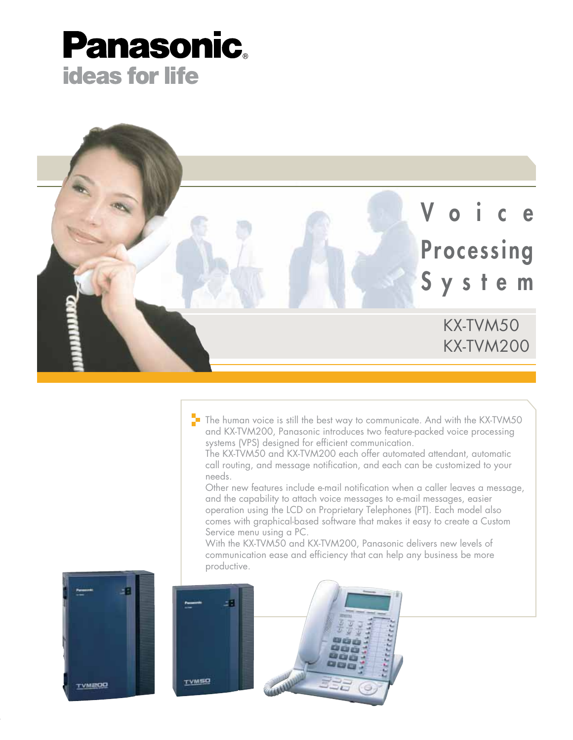



The human voice is still the best way to communicate. And with the KX-TVM50 and KX-TVM200, Panasonic introduces two feature-packed voice processing systems (VPS) designed for efficient communication.

The KX-TVM50 and KX-TVM200 each offer automated attendant, automatic call routing, and message notification, and each can be customized to your needs.

Other new features include e-mail notification when a caller leaves a message, and the capability to attach voice messages to e-mail messages, easier operation using the LCD on Proprietary Telephones (PT). Each model also comes with graphical-based software that makes it easy to create a Custom Service menu using a PC.

With the KX-TVM50 and KX-TVM200, Panasonic delivers new levels of communication ease and efficiency that can help any business be more productive.



a



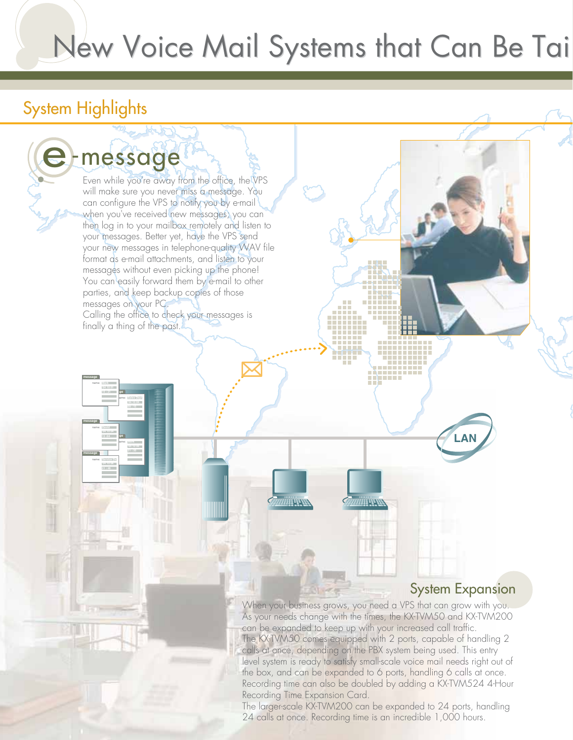# New Voice Mail Systems that Can Be Tai

## System Highlights

**message**

**message**

**15 : 21** name:

**13 :04** name:

**'04 10 06** name:

**message**

**message**

**09 : 15** name:

**21 : 35** name:

Even while you're away from the office, the VPS will make sure you never miss a message. You can configure the VPS to notify you by e-mail when you've received new messages; you can then log in to your mailbox remotely and listen to your messages. Better yet, have the VPS send your new messages in telephone-quality WAV file format as e-mail attachments, and listen to your messages without even picking up the phone! You can easily forward them by e-mail to other parties, and keep backup copies of those messages on your PC. Calling the office to check your messages is finally a thing of the past. e-message

**LAN**

### System Expansion

When your business grows, you need a VPS that can grow with you. As your needs change with the times, the KX-TVM50 and KX-TVM200 can be expanded to keep up with your increased call traffic. The KX-TVM50 comes equipped with 2 ports, capable of handling 2 calls at once, depending on the PBX system being used. This entry level system is ready to satisfy small-scale voice mail needs right out of the box, and can be expanded to 6 ports, handling 6 calls at once. Recording time can also be doubled by adding a KX-TVM524 4-Hour Recording Time Expansion Card.

**Thuman** 

**WATER WARD** 

The larger-scale KX-TVM200 can be expanded to 24 ports, handling 24 calls at once. Recording time is an incredible 1,000 hours.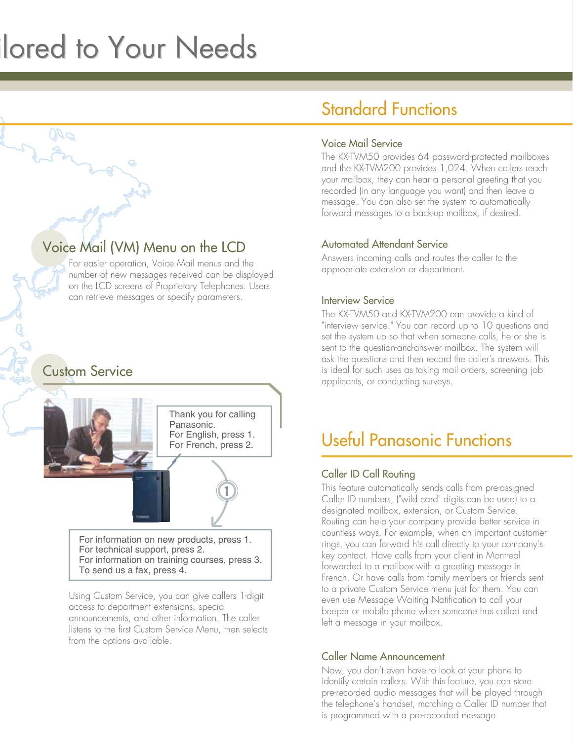# lored to Your Needs

## Voice Mail (VM) Menu on the LCD

For easier operation, Voice Mail menus and the number of new messages received can be displayed on the LCD screens of Proprietary Telephones. Users can retrieve messages or specify parameters.

### Custom Service



For information on new products, press 1. For technical support, press 2. For information on training courses, press 3. To send us a fax, press 4.

Using Custom Service, you can give callers 1-digit access to department extensions, special announcements, and other information. The caller listens to the first Custom Service Menu, then selects from the options available.

## Standard Functions

#### Voice Mail Service

The KX-TVM50 provides 64 password-protected mailboxes and the KX-TVM200 provides 1,024. When callers reach your mailbox, they can hear a personal greeting that you recorded (in any language you want) and then leave a message. You can also set the system to automatically forward messages to a back-up mailbox, if desired.

#### Automated Attendant Service

Answers incoming calls and routes the caller to the appropriate extension or department.

#### Interview Service

The KX-TVM50 and KX-TVM200 can provide a kind of "interview service." You can record up to 10 questions and set the system up so that when someone calls, he or she is sent to the question-and-answer mailbox. The system will ask the questions and then record the caller's answers. This is ideal for such uses as taking mail orders, screening job applicants, or conducting surveys.

## Useful Panasonic Functions

#### Caller ID Call Routing

This feature automatically sends calls from pre-assigned Caller ID numbers, ("wild card" digits can be used) to a designated mailbox, extension, or Custom Service. Routing can help your company provide better service in countless ways. For example, when an important customer rings, you can forward his call directly to your company's key contact. Have calls from your client in Montreal forwarded to a mailbox with a greeting message in French. Or have calls from family members or friends sent to a private Custom Service menu just for them. You can even use Message Waiting Notification to call your beeper or mobile phone when someone has called and left a message in your mailbox.

#### Caller Name Announcement

Now, you don't even have to look at your phone to identify certain callers. With this feature, you can store pre-recorded audio messages that will be played through the telephone's handset, matching a Caller ID number that is programmed with a pre-recorded message.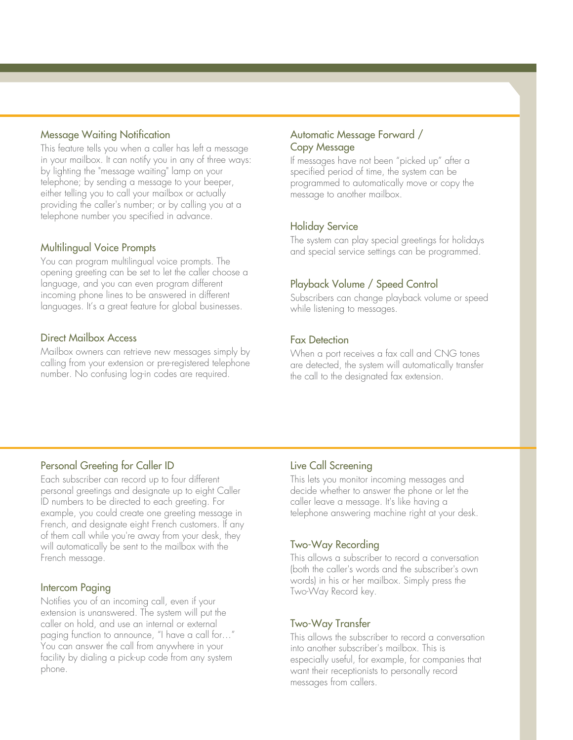#### Message Waiting Notification

This feature tells you when a caller has left a message in your mailbox. It can notify you in any of three ways: by lighting the "message waiting" lamp on your telephone; by sending a message to your beeper, either telling you to call your mailbox or actually providing the caller's number; or by calling you at a telephone number you specified in advance.

#### Multilingual Voice Prompts

You can program multilingual voice prompts. The opening greeting can be set to let the caller choose a language, and you can even program different incoming phone lines to be answered in different languages. It's a great feature for global businesses.

#### Direct Mailbox Access

Mailbox owners can retrieve new messages simply by calling from your extension or pre-registered telephone number. No confusing log-in codes are required.

#### Automatic Message Forward / Copy Message

If messages have not been "picked up" after a specified period of time, the system can be programmed to automatically move or copy the message to another mailbox.

#### Holiday Service

The system can play special greetings for holidays and special service settings can be programmed.

#### Playback Volume / Speed Control

Subscribers can change playback volume or speed while listening to messages.

#### Fax Detection

When a port receives a fax call and CNG tones are detected, the system will automatically transfer the call to the designated fax extension.

#### Personal Greeting for Caller ID

Each subscriber can record up to four different personal greetings and designate up to eight Caller ID numbers to be directed to each greeting. For example, you could create one greeting message in French, and designate eight French customers. If any of them call while you're away from your desk, they will automatically be sent to the mailbox with the French message.

#### Intercom Paging

Notifies you of an incoming call, even if your extension is unanswered. The system will put the caller on hold, and use an internal or external paging function to announce, "I have a call for…" You can answer the call from anywhere in your facility by dialing a pick-up code from any system phone.

#### Live Call Screening

This lets you monitor incoming messages and decide whether to answer the phone or let the caller leave a message. It's like having a telephone answering machine right at your desk.

#### Two-Way Recording

This allows a subscriber to record a conversation (both the caller's words and the subscriber's own words) in his or her mailbox. Simply press the Two-Way Record key.

#### Two-Way Transfer

This allows the subscriber to record a conversation into another subscriber's mailbox. This is especially useful, for example, for companies that want their receptionists to personally record messages from callers.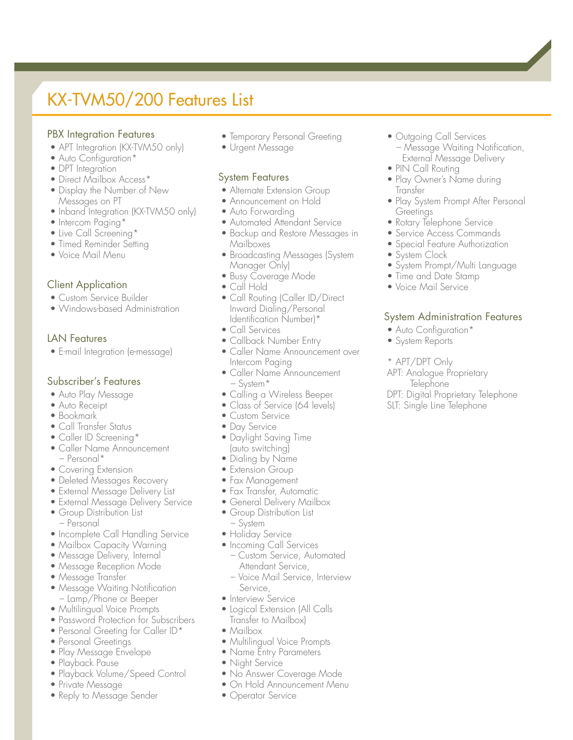# KX-TVM50/200 Features List

#### PBX Integration Features

- APT Integration (KX-TVM50 only)
- Auto Configuration\*
- DPT Integration
- Direct Mailbox Access\*
- Display the Number of New Messages on PT
- Inband Integration (KX-TVM50 only)
- Intercom Paging\*
- Live Call Screening\*
- Timed Reminder Setting
- Voice Mail Menu

#### Client Application

- Custom Service Builder
- Windows-based Administration

#### LAN Features

• E-mail Integration (e-message)

#### Subscriber's Features

- Auto Play Message
- Auto Receipt
- Bookmark
- Call Transfer Status
- Caller ID Screening\*
- Caller Name Announcement – Personal\*
- Covering Extension
- Deleted Messages Recovery
- External Message Delivery List
- External Message Delivery Service
- Group Distribution List – Personal
- Incomplete Call Handling Service
- Mailbox Capacity Warning
- Message Delivery, Internal
- Message Reception Mode
- Message Transfer
- Message Waiting Notification – Lamp/Phone or Beeper
- Multilingual Voice Prompts
- Password Protection for Subscribers
- Personal Greeting for Caller ID\*
- Personal Greetings
- Play Message Envelope
- Playback Pause
- Playback Volume/Speed Control
- Private Message
- Reply to Message Sender
- Temporary Personal Greeting
- Urgent Message

#### System Features

- Alternate Extension Group
- Announcement on Hold
- Auto Forwarding
- Automated Attendant Service
- Backup and Restore Messages in Mailboxes
- Broadcasting Messages (System Manager Only)
- Busy Coverage Mode
- Call Hold
- Call Routing (Caller ID/Direct Inward Dialing/Personal Identification Number)\*
- Call Services
- Callback Number Entry
- Caller Name Announcement over Intercom Paging
- Caller Name Announcement – System\*
- Calling a Wireless Beeper
- Class of Service (64 levels)
- Custom Service
- Day Service
- Daylight Saving Time (auto switching)
- Dialing by Name
- Extension Group
- Fax Management
- Fax Transfer, Automatic
- General Delivery Mailbox
- Group Distribution List
- System
- Holiday Service
- Incoming Call Services
	- Custom Service, Automated Attendant Service,
	- Voice Mail Service, Interview Service,
- Interview Service
- Logical Extension (All Calls Transfer to Mailbox)
- Mailbox
- Multilingual Voice Prompts
- Name Entry Parameters
- Night Service
- No Answer Coverage Mode
- On Hold Announcement Menu
- Operator Service
- Outgoing Call Services – Message Waiting Notification, External Message Delivery
- PIN Call Routing
- Play Owner's Name during Transfer
- Play System Prompt After Personal Greetings
- Rotary Telephone Service
- Service Access Commands
- Special Feature Authorization
- System Clock
- System Prompt/Multi Language
- Time and Date Stamp
- Voice Mail Service

#### System Administration Features

DPT: Digital Proprietary Telephone SLT: Single Line Telephone

• Auto Configuration\*

APT: Analogue Proprietary **Telephone** 

- System Reports
- \* APT/DPT Only